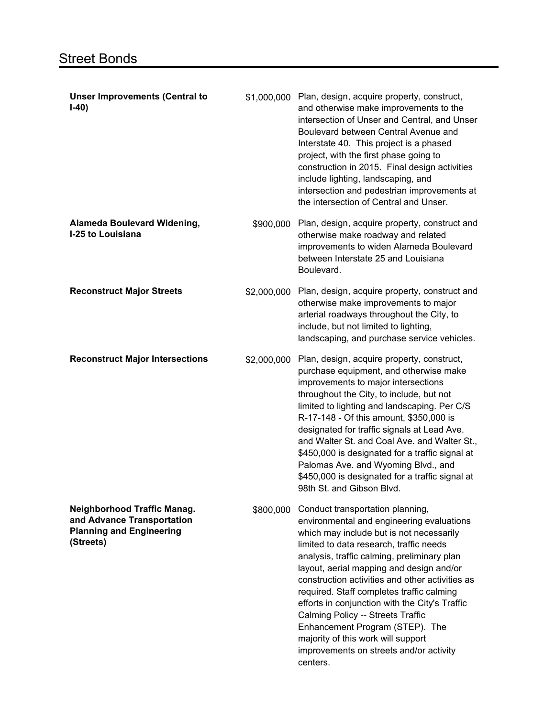| <b>Unser Improvements (Central to</b><br>$I-40)$                                                                 |             | \$1,000,000 Plan, design, acquire property, construct,<br>and otherwise make improvements to the<br>intersection of Unser and Central, and Unser<br>Boulevard between Central Avenue and<br>Interstate 40. This project is a phased<br>project, with the first phase going to<br>construction in 2015. Final design activities<br>include lighting, landscaping, and<br>intersection and pedestrian improvements at<br>the intersection of Central and Unser.                                                                                                                          |
|------------------------------------------------------------------------------------------------------------------|-------------|----------------------------------------------------------------------------------------------------------------------------------------------------------------------------------------------------------------------------------------------------------------------------------------------------------------------------------------------------------------------------------------------------------------------------------------------------------------------------------------------------------------------------------------------------------------------------------------|
| <b>Alameda Boulevard Widening,</b><br>I-25 to Louisiana                                                          | \$900,000   | Plan, design, acquire property, construct and<br>otherwise make roadway and related<br>improvements to widen Alameda Boulevard<br>between Interstate 25 and Louisiana<br>Boulevard.                                                                                                                                                                                                                                                                                                                                                                                                    |
| <b>Reconstruct Major Streets</b>                                                                                 | \$2,000,000 | Plan, design, acquire property, construct and<br>otherwise make improvements to major<br>arterial roadways throughout the City, to<br>include, but not limited to lighting,<br>landscaping, and purchase service vehicles.                                                                                                                                                                                                                                                                                                                                                             |
| <b>Reconstruct Major Intersections</b>                                                                           | \$2,000,000 | Plan, design, acquire property, construct,<br>purchase equipment, and otherwise make<br>improvements to major intersections<br>throughout the City, to include, but not<br>limited to lighting and landscaping. Per C/S<br>R-17-148 - Of this amount, \$350,000 is<br>designated for traffic signals at Lead Ave.<br>and Walter St. and Coal Ave. and Walter St.,<br>\$450,000 is designated for a traffic signal at<br>Palomas Ave. and Wyoming Blvd., and<br>\$450,000 is designated for a traffic signal at<br>98th St. and Gibson Blvd.                                            |
| <b>Neighborhood Traffic Manag.</b><br>and Advance Transportation<br><b>Planning and Engineering</b><br>(Streets) | \$800,000   | Conduct transportation planning,<br>environmental and engineering evaluations<br>which may include but is not necessarily<br>limited to data research, traffic needs<br>analysis, traffic calming, preliminary plan<br>layout, aerial mapping and design and/or<br>construction activities and other activities as<br>required. Staff completes traffic calming<br>efforts in conjunction with the City's Traffic<br>Calming Policy -- Streets Traffic<br>Enhancement Program (STEP). The<br>majority of this work will support<br>improvements on streets and/or activity<br>centers. |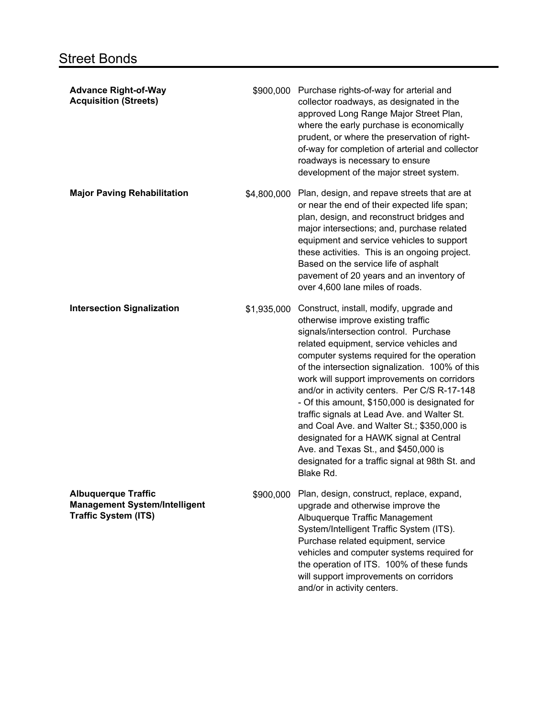| <b>Advance Right-of-Way</b><br><b>Acquisition (Streets)</b>                                       |             | \$900,000 Purchase rights-of-way for arterial and<br>collector roadways, as designated in the<br>approved Long Range Major Street Plan,<br>where the early purchase is economically<br>prudent, or where the preservation of right-<br>of-way for completion of arterial and collector<br>roadways is necessary to ensure<br>development of the major street system.                                                                                                                                                                                                                                                                                                 |
|---------------------------------------------------------------------------------------------------|-------------|----------------------------------------------------------------------------------------------------------------------------------------------------------------------------------------------------------------------------------------------------------------------------------------------------------------------------------------------------------------------------------------------------------------------------------------------------------------------------------------------------------------------------------------------------------------------------------------------------------------------------------------------------------------------|
| <b>Major Paving Rehabilitation</b>                                                                | \$4,800,000 | Plan, design, and repave streets that are at<br>or near the end of their expected life span;<br>plan, design, and reconstruct bridges and<br>major intersections; and, purchase related<br>equipment and service vehicles to support<br>these activities. This is an ongoing project.<br>Based on the service life of asphalt<br>pavement of 20 years and an inventory of<br>over 4,600 lane miles of roads.                                                                                                                                                                                                                                                         |
| <b>Intersection Signalization</b>                                                                 | \$1,935,000 | Construct, install, modify, upgrade and<br>otherwise improve existing traffic<br>signals/intersection control. Purchase<br>related equipment, service vehicles and<br>computer systems required for the operation<br>of the intersection signalization. 100% of this<br>work will support improvements on corridors<br>and/or in activity centers. Per C/S R-17-148<br>- Of this amount, \$150,000 is designated for<br>traffic signals at Lead Ave. and Walter St.<br>and Coal Ave. and Walter St.; \$350,000 is<br>designated for a HAWK signal at Central<br>Ave. and Texas St., and \$450,000 is<br>designated for a traffic signal at 98th St. and<br>Blake Rd. |
| <b>Albuquerque Traffic</b><br><b>Management System/Intelligent</b><br><b>Traffic System (ITS)</b> | \$900,000   | Plan, design, construct, replace, expand,<br>upgrade and otherwise improve the<br>Albuquerque Traffic Management<br>System/Intelligent Traffic System (ITS).<br>Purchase related equipment, service<br>vehicles and computer systems required for<br>the operation of ITS. 100% of these funds<br>will support improvements on corridors<br>and/or in activity centers.                                                                                                                                                                                                                                                                                              |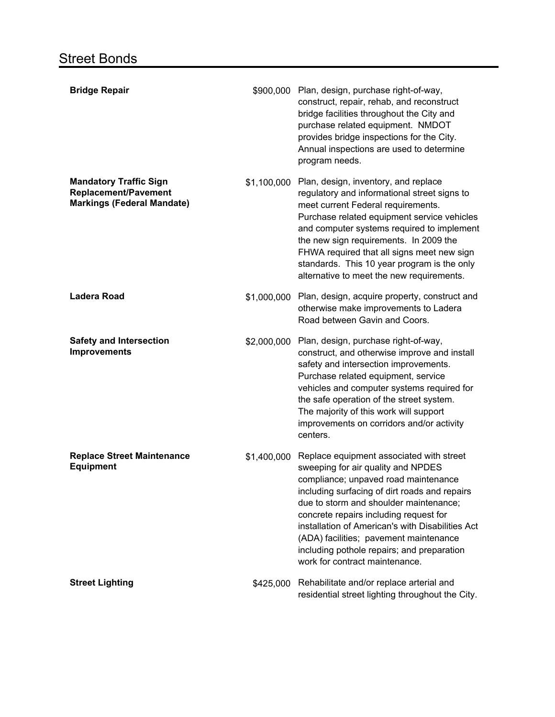| <b>Bridge Repair</b>                                                                              | \$900,000   | Plan, design, purchase right-of-way,<br>construct, repair, rehab, and reconstruct<br>bridge facilities throughout the City and<br>purchase related equipment. NMDOT<br>provides bridge inspections for the City.<br>Annual inspections are used to determine<br>program needs.                                                                                                                                                            |
|---------------------------------------------------------------------------------------------------|-------------|-------------------------------------------------------------------------------------------------------------------------------------------------------------------------------------------------------------------------------------------------------------------------------------------------------------------------------------------------------------------------------------------------------------------------------------------|
| <b>Mandatory Traffic Sign</b><br><b>Replacement/Pavement</b><br><b>Markings (Federal Mandate)</b> | \$1,100,000 | Plan, design, inventory, and replace<br>regulatory and informational street signs to<br>meet current Federal requirements.<br>Purchase related equipment service vehicles<br>and computer systems required to implement<br>the new sign requirements. In 2009 the<br>FHWA required that all signs meet new sign<br>standards. This 10 year program is the only<br>alternative to meet the new requirements.                               |
| <b>Ladera Road</b>                                                                                | \$1,000,000 | Plan, design, acquire property, construct and<br>otherwise make improvements to Ladera<br>Road between Gavin and Coors.                                                                                                                                                                                                                                                                                                                   |
| <b>Safety and Intersection</b><br><b>Improvements</b>                                             | \$2,000,000 | Plan, design, purchase right-of-way,<br>construct, and otherwise improve and install<br>safety and intersection improvements.<br>Purchase related equipment, service<br>vehicles and computer systems required for<br>the safe operation of the street system.<br>The majority of this work will support<br>improvements on corridors and/or activity<br>centers.                                                                         |
| <b>Replace Street Maintenance</b><br><b>Equipment</b>                                             | \$1,400,000 | Replace equipment associated with street<br>sweeping for air quality and NPDES<br>compliance; unpaved road maintenance<br>including surfacing of dirt roads and repairs<br>due to storm and shoulder maintenance;<br>concrete repairs including request for<br>installation of American's with Disabilities Act<br>(ADA) facilities; pavement maintenance<br>including pothole repairs; and preparation<br>work for contract maintenance. |
| <b>Street Lighting</b>                                                                            | \$425,000   | Rehabilitate and/or replace arterial and<br>residential street lighting throughout the City.                                                                                                                                                                                                                                                                                                                                              |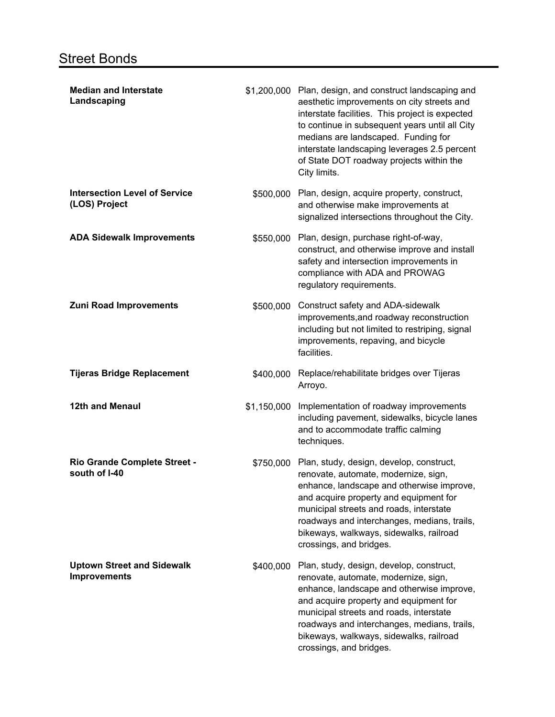| <b>Median and Interstate</b><br>Landscaping              |             | \$1,200,000 Plan, design, and construct landscaping and<br>aesthetic improvements on city streets and<br>interstate facilities. This project is expected<br>to continue in subsequent years until all City<br>medians are landscaped. Funding for<br>interstate landscaping leverages 2.5 percent<br>of State DOT roadway projects within the<br>City limits. |
|----------------------------------------------------------|-------------|---------------------------------------------------------------------------------------------------------------------------------------------------------------------------------------------------------------------------------------------------------------------------------------------------------------------------------------------------------------|
| <b>Intersection Level of Service</b><br>(LOS) Project    | \$500,000   | Plan, design, acquire property, construct,<br>and otherwise make improvements at<br>signalized intersections throughout the City.                                                                                                                                                                                                                             |
| <b>ADA Sidewalk Improvements</b>                         | \$550,000   | Plan, design, purchase right-of-way,<br>construct, and otherwise improve and install<br>safety and intersection improvements in<br>compliance with ADA and PROWAG<br>regulatory requirements.                                                                                                                                                                 |
| <b>Zuni Road Improvements</b>                            | \$500,000   | Construct safety and ADA-sidewalk<br>improvements, and roadway reconstruction<br>including but not limited to restriping, signal<br>improvements, repaving, and bicycle<br>facilities.                                                                                                                                                                        |
| <b>Tijeras Bridge Replacement</b>                        | \$400,000   | Replace/rehabilitate bridges over Tijeras<br>Arroyo.                                                                                                                                                                                                                                                                                                          |
| 12th and Menaul                                          | \$1,150,000 | Implementation of roadway improvements<br>including pavement, sidewalks, bicycle lanes<br>and to accommodate traffic calming<br>techniques.                                                                                                                                                                                                                   |
| Rio Grande Complete Street -<br>south of I-40            | \$750,000   | Plan, study, design, develop, construct,<br>renovate, automate, modernize, sign,<br>enhance, landscape and otherwise improve,<br>and acquire property and equipment for<br>municipal streets and roads, interstate<br>roadways and interchanges, medians, trails,<br>bikeways, walkways, sidewalks, railroad<br>crossings, and bridges.                       |
| <b>Uptown Street and Sidewalk</b><br><b>Improvements</b> | \$400,000   | Plan, study, design, develop, construct,<br>renovate, automate, modernize, sign,<br>enhance, landscape and otherwise improve,<br>and acquire property and equipment for<br>municipal streets and roads, interstate<br>roadways and interchanges, medians, trails,<br>bikeways, walkways, sidewalks, railroad<br>crossings, and bridges.                       |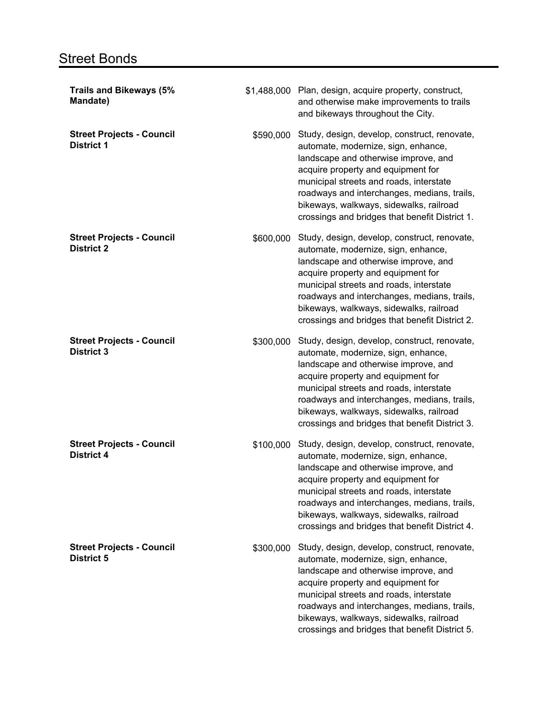## **Street Bonds**

| <b>Trails and Bikeways (5%</b><br>Mandate)            |           | \$1,488,000 Plan, design, acquire property, construct,<br>and otherwise make improvements to trails<br>and bikeways throughout the City.                                                                                                                                                                                                                 |
|-------------------------------------------------------|-----------|----------------------------------------------------------------------------------------------------------------------------------------------------------------------------------------------------------------------------------------------------------------------------------------------------------------------------------------------------------|
| <b>Street Projects - Council</b><br><b>District 1</b> | \$590,000 | Study, design, develop, construct, renovate,<br>automate, modernize, sign, enhance,<br>landscape and otherwise improve, and<br>acquire property and equipment for<br>municipal streets and roads, interstate<br>roadways and interchanges, medians, trails,<br>bikeways, walkways, sidewalks, railroad<br>crossings and bridges that benefit District 1. |
| <b>Street Projects - Council</b><br><b>District 2</b> | \$600,000 | Study, design, develop, construct, renovate,<br>automate, modernize, sign, enhance,<br>landscape and otherwise improve, and<br>acquire property and equipment for<br>municipal streets and roads, interstate<br>roadways and interchanges, medians, trails,<br>bikeways, walkways, sidewalks, railroad<br>crossings and bridges that benefit District 2. |
| <b>Street Projects - Council</b><br><b>District 3</b> | \$300,000 | Study, design, develop, construct, renovate,<br>automate, modernize, sign, enhance,<br>landscape and otherwise improve, and<br>acquire property and equipment for<br>municipal streets and roads, interstate<br>roadways and interchanges, medians, trails,<br>bikeways, walkways, sidewalks, railroad<br>crossings and bridges that benefit District 3. |
| <b>Street Projects - Council</b><br><b>District 4</b> | \$100,000 | Study, design, develop, construct, renovate,<br>automate, modernize, sign, enhance,<br>landscape and otherwise improve, and<br>acquire property and equipment for<br>municipal streets and roads, interstate<br>roadways and interchanges, medians, trails,<br>bikeways, walkways, sidewalks, railroad<br>crossings and bridges that benefit District 4. |
| <b>Street Projects - Council</b><br><b>District 5</b> | \$300,000 | Study, design, develop, construct, renovate,<br>automate, modernize, sign, enhance,<br>landscape and otherwise improve, and<br>acquire property and equipment for<br>municipal streets and roads, interstate<br>roadways and interchanges, medians, trails,<br>bikeways, walkways, sidewalks, railroad<br>crossings and bridges that benefit District 5. |